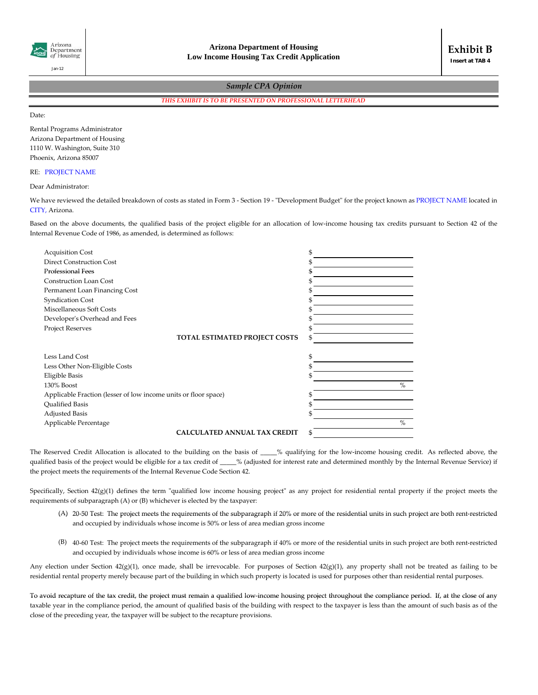

## *Sample CPA Opinion*

*THIS EXHIBIT IS TO BE PRESENTED ON PROFESSIONAL LETTERHEAD*

Date:

Rental Programs Administrator Arizona Department of Housing 1110 W. Washington, Suite 310 Phoenix, Arizona 85007

## RE: PROJECT NAME

## Dear Administrator:

We have reviewed the detailed breakdown of costs as stated in Form 3 - Section 19 - "Development Budget" for the project known as PROJECT NAME located in CITY, Arizona.

Based on the above documents, the qualified basis of the project eligible for an allocation of low-income housing tax credits pursuant to Section 42 of the Internal Revenue Code of 1986, as amended, is determined as follows:

| <b>Acquisition Cost</b>                                         | \$   |
|-----------------------------------------------------------------|------|
| <b>Direct Construction Cost</b>                                 |      |
| <b>Professional Fees</b>                                        |      |
| <b>Construction Loan Cost</b>                                   |      |
| Permanent Loan Financing Cost                                   |      |
| <b>Syndication Cost</b>                                         |      |
| Miscellaneous Soft Costs                                        |      |
| Developer's Overhead and Fees                                   |      |
| <b>Project Reserves</b>                                         |      |
| <b>TOTAL ESTIMATED PROJECT COSTS</b>                            | \$   |
|                                                                 |      |
| Less Land Cost                                                  | \$   |
| Less Other Non-Eligible Costs                                   |      |
| Eligible Basis                                                  |      |
| 130% Boost                                                      | $\%$ |
| Applicable Fraction (lesser of low income units or floor space) |      |
| <b>Oualified Basis</b>                                          |      |
| <b>Adjusted Basis</b>                                           |      |
| Applicable Percentage                                           | $\%$ |
| <b>CALCULATED ANNUAL TAX CREDIT</b>                             | \$   |

The Reserved Credit Allocation is allocated to the building on the basis of \_\_\_\_% qualifying for the low-income housing credit. As reflected above, the qualified basis of the project would be eligible for a tax credit of \_\_\_\_% (adjusted for interest rate and determined monthly by the Internal Revenue Service) if the project meets the requirements of the Internal Revenue Code Section 42.

Specifically, Section 42(g)(1) defines the term "qualified low income housing project" as any project for residential rental property if the project meets the requirements of subparagraph (A) or (B) whichever is elected by the taxpayer:

- (A) 20-50 Test: The project meets the requirements of the subparagraph if 20% or more of the residential units in such project are both rent-restricted and occupied by individuals whose income is 50% or less of area median gross income
- (B) 40‐60 Test: The project meets the requirements of the subparagraph if 40% or more of the residential units in such project are both rent‐restricted and occupied by individuals whose income is 60% or less of area median gross income

Any election under Section  $42(g)(1)$ , once made, shall be irrevocable. For purposes of Section  $42(g)(1)$ , any property shall not be treated as failing to be residential rental property merely because part of the building in which such property is located is used for purposes other than residential rental purposes.

To avoid recapture of the tax credit, the project must remain a qualified low-income housing project throughout the compliance period. If, at the close of any taxable year in the compliance period, the amount of qualified basis of the building with respect to the taxpayer is less than the amount of such basis as of the close of the preceding year, the taxpayer will be subject to the recapture provisions.